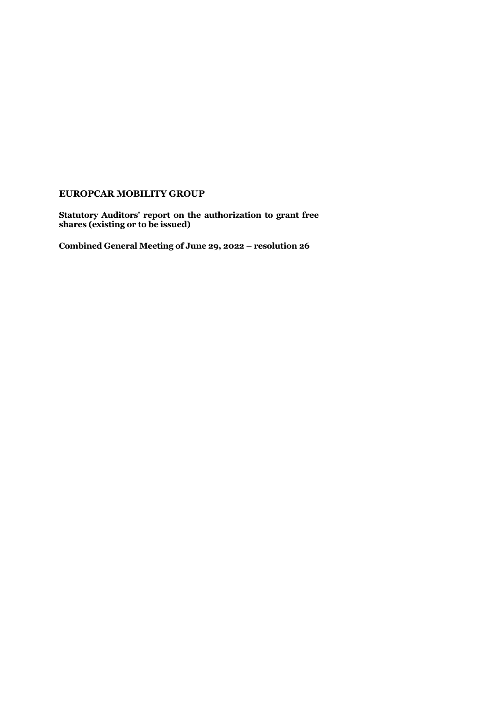## **EUROPCAR MOBILITY GROUP**

**Statutory Auditors' report on the authorization to grant free shares (existing or to be issued)** 

**Combined General Meeting of June 29, 2022 – resolution 26**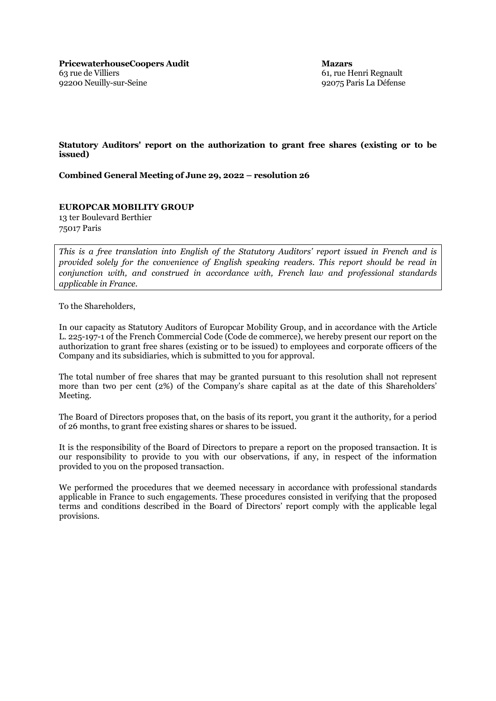**Mazars** 61, rue Henri Regnault 92075 Paris La Défense

## **Statutory Auditors' report on the authorization to grant free shares (existing or to be issued)**

**Combined General Meeting of June 29, 2022 – resolution 26**

## **EUROPCAR MOBILITY GROUP**

13 ter Boulevard Berthier 75017 Paris

*This is a free translation into English of the Statutory Auditors' report issued in French and is provided solely for the convenience of English speaking readers. This report should be read in conjunction with, and construed in accordance with, French law and professional standards applicable in France.*

To the Shareholders,

In our capacity as Statutory Auditors of Europcar Mobility Group, and in accordance with the Article L. 225-197-1 of the French Commercial Code (Code de commerce), we hereby present our report on the authorization to grant free shares (existing or to be issued) to employees and corporate officers of the Company and its subsidiaries, which is submitted to you for approval.

The total number of free shares that may be granted pursuant to this resolution shall not represent more than two per cent (2%) of the Company's share capital as at the date of this Shareholders' Meeting.

The Board of Directors proposes that, on the basis of its report, you grant it the authority, for a period of 26 months, to grant free existing shares or shares to be issued.

It is the responsibility of the Board of Directors to prepare a report on the proposed transaction. It is our responsibility to provide to you with our observations, if any, in respect of the information provided to you on the proposed transaction.

We performed the procedures that we deemed necessary in accordance with professional standards applicable in France to such engagements. These procedures consisted in verifying that the proposed terms and conditions described in the Board of Directors' report comply with the applicable legal provisions.